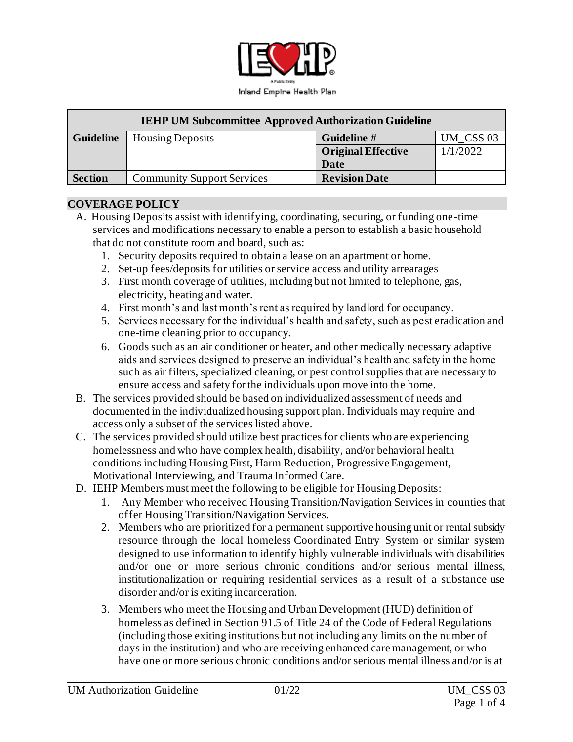

| <b>IEHP UM Subcommittee Approved Authorization Guideline</b> |                                   |                           |           |
|--------------------------------------------------------------|-----------------------------------|---------------------------|-----------|
| <b>Guideline</b>                                             | <b>Housing Deposits</b>           | Guideline #               | UM CSS 03 |
|                                                              |                                   | <b>Original Effective</b> | 1/1/2022  |
|                                                              |                                   | Date                      |           |
| <b>Section</b>                                               | <b>Community Support Services</b> | <b>Revision Date</b>      |           |

#### **COVERAGE POLICY**

- A. Housing Deposits assist with identifying, coordinating, securing, or funding one-time services and modifications necessary to enable a person to establish a basic household that do not constitute room and board, such as:
	- 1. Security deposits required to obtain a lease on an apartment or home.
	- 2. Set-up fees/deposits for utilities or service access and utility arrearages
	- 3. First month coverage of utilities, including but not limited to telephone, gas, electricity, heating and water.
	- 4. First month's and last month's rent as required by landlord for occupancy.
	- 5. Services necessary for the individual's health and safety, such as pest eradication and one-time cleaning prior to occupancy.
	- 6. Goods such as an air conditioner or heater, and other medically necessary adaptive aids and services designed to preserve an individual's health and safety in the home such as air filters, specialized cleaning, or pest control supplies that are necessary to ensure access and safety for the individuals upon move into the home.
- B. The services provided should be based on individualized assessment of needs and documented in the individualized housing support plan. Individuals may require and access only a subset of the services listed above.
- C. The services provided should utilize best practices for clients who are experiencing homelessness and who have complex health, disability, and/or behavioral health conditions including Housing First, Harm Reduction, Progressive Engagement, Motivational Interviewing, and Trauma Informed Care.
- D. IEHP Members must meet the following to be eligible for Housing Deposits:
	- 1. Any Member who received Housing Transition/Navigation Services in counties that offer Housing Transition/Navigation Services.
	- 2. Members who are prioritized for a permanent supportive housing unit or rental subsidy resource through the local homeless Coordinated Entry System or similar system designed to use information to identify highly vulnerable individuals with disabilities and/or one or more serious chronic conditions and/or serious mental illness, institutionalization or requiring residential services as a result of a substance use disorder and/or is exiting incarceration.
	- 3. Members who meet the Housing and Urban Development (HUD) definition of homeless as defined in Section 91.5 of Title 24 of the Code of Federal Regulations (including those exiting institutions but not including any limits on the number of days in the institution) and who are receiving enhanced care management, or who have one or more serious chronic conditions and/or serious mental illness and/or is at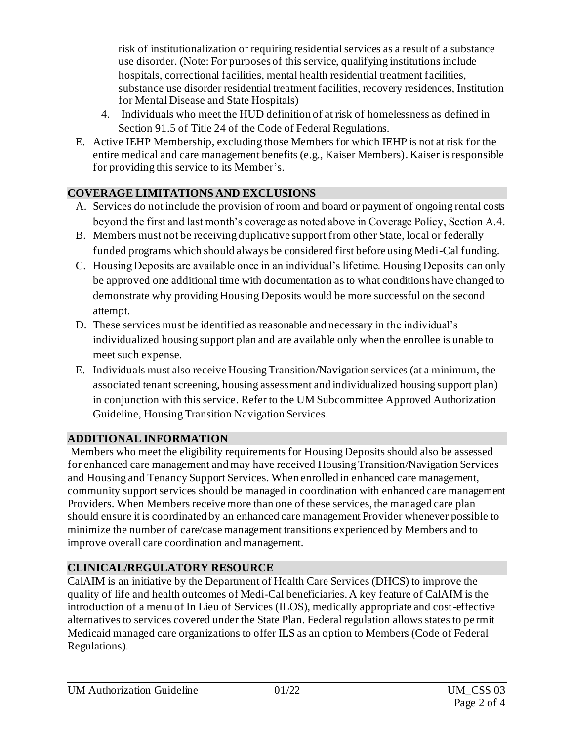risk of institutionalization or requiring residential services as a result of a substance use disorder. (Note: For purposes of this service, qualifying institutions include hospitals, correctional facilities, mental health residential treatment facilities, substance use disorder residential treatment facilities, recovery residences, Institution for Mental Disease and State Hospitals)

- 4. Individuals who meet the HUD definition of at risk of homelessness as defined in Section 91.5 of Title 24 of the Code of Federal Regulations.
- E. Active IEHP Membership, excluding those Members for which IEHP is not at risk for the entire medical and care management benefits (e.g., Kaiser Members). Kaiser is responsible for providing this service to its Member's.

### **COVERAGE LIMITATIONS AND EXCLUSIONS**

- A. Services do not include the provision of room and board or payment of ongoing rental costs beyond the first and last month's coverage as noted above in Coverage Policy, Section A.4.
- B. Members must not be receiving duplicative support from other State, local or federally funded programs which should always be considered first before using Medi-Cal funding.
- C. Housing Deposits are available once in an individual's lifetime. Housing Deposits can only be approved one additional time with documentation as to what conditions have changed to demonstrate why providing Housing Deposits would be more successful on the second attempt.
- D. These services must be identified as reasonable and necessary in the individual's individualized housing support plan and are available only when the enrollee is unable to meet such expense.
- E. Individuals must also receive Housing Transition/Navigation services (at a minimum, the associated tenant screening, housing assessment and individualized housing support plan) in conjunction with this service. Refer to the UM Subcommittee Approved Authorization Guideline, Housing Transition Navigation Services.

# **ADDITIONAL INFORMATION**

Members who meet the eligibility requirements for Housing Deposits should also be assessed for enhanced care management and may have received Housing Transition/Navigation Services and Housing and Tenancy Support Services. When enrolled in enhanced care management, community support services should be managed in coordination with enhanced care management Providers. When Members receive more than one of these services, the managed care plan should ensure it is coordinated by an enhanced care management Provider whenever possible to minimize the number of care/case management transitions experienced by Members and to improve overall care coordination and management.

# **CLINICAL/REGULATORY RESOURCE**

CalAIM is an initiative by the Department of Health Care Services (DHCS) to improve the quality of life and health outcomes of Medi-Cal beneficiaries. A key feature of CalAIM is the introduction of a menu of In Lieu of Services (ILOS), medically appropriate and cost-effective alternatives to services covered under the State Plan. Federal regulation allows states to permit Medicaid managed care organizations to offer ILS as an option to Members (Code of Federal Regulations).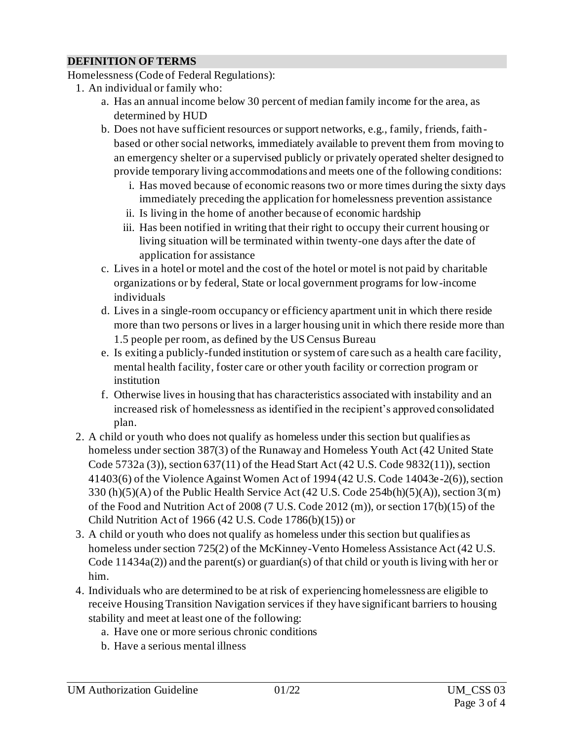### **DEFINITION OF TERMS**

Homelessness (Code of Federal Regulations):

- 1. An individual or family who:
	- a. Has an annual income below 30 percent of median family income for the area, as determined by HUD
	- b. Does not have sufficient resources or support networks, e.g., family, friends, faithbased or other social networks, immediately available to prevent them from moving to an emergency shelter or a supervised publicly or privately operated shelter designed to provide temporary living accommodations and meets one of the following conditions:
		- i. Has moved because of economic reasons two or more times during the sixty days immediately preceding the application for homelessness prevention assistance
		- ii. Is living in the home of another because of economic hardship
		- iii. Has been notified in writing that their right to occupy their current housing or living situation will be terminated within twenty-one days after the date of application for assistance
	- c. Lives in a hotel or motel and the cost of the hotel or motel is not paid by charitable organizations or by federal, State or local government programs for low-income individuals
	- d. Lives in a single-room occupancy or efficiency apartment unit in which there reside more than two persons or lives in a larger housing unit in which there reside more than 1.5 people per room, as defined by the US Census Bureau
	- e. Is exiting a publicly-funded institution or system of care such as a health care facility, mental health facility, foster care or other youth facility or correction program or institution
	- f. Otherwise lives in housing that has characteristics associated with instability and an increased risk of homelessness as identified in the recipient's approved consolidated plan.
- 2. A child or youth who does not qualify as homeless under this section but qualifies as homeless under section 387(3) of the Runaway and Homeless Youth Act (42 United State Code 5732a (3)), section 637(11) of the Head Start Act (42 U.S. Code 9832(11)), section 41403(6) of the Violence Against Women Act of 1994 (42 U.S. Code 14043e-2(6)), section 330 (h)(5)(A) of the Public Health Service Act (42 U.S. Code 254b(h)(5)(A)), section 3(m) of the Food and Nutrition Act of 2008 (7 U.S. Code 2012 (m)), or section 17(b)(15) of the Child Nutrition Act of 1966 (42 U.S. Code 1786(b)(15)) or
- 3. A child or youth who does not qualify as homeless under this section but qualifies as homeless under section 725(2) of the McKinney-Vento Homeless Assistance Act (42 U.S. Code 11434a(2)) and the parent(s) or guardian(s) of that child or youth is living with her or him.
- 4. Individuals who are determined to be at risk of experiencing homelessness are eligible to receive Housing Transition Navigation services if they have significant barriers to housing stability and meet at least one of the following:
	- a. Have one or more serious chronic conditions
	- b. Have a serious mental illness